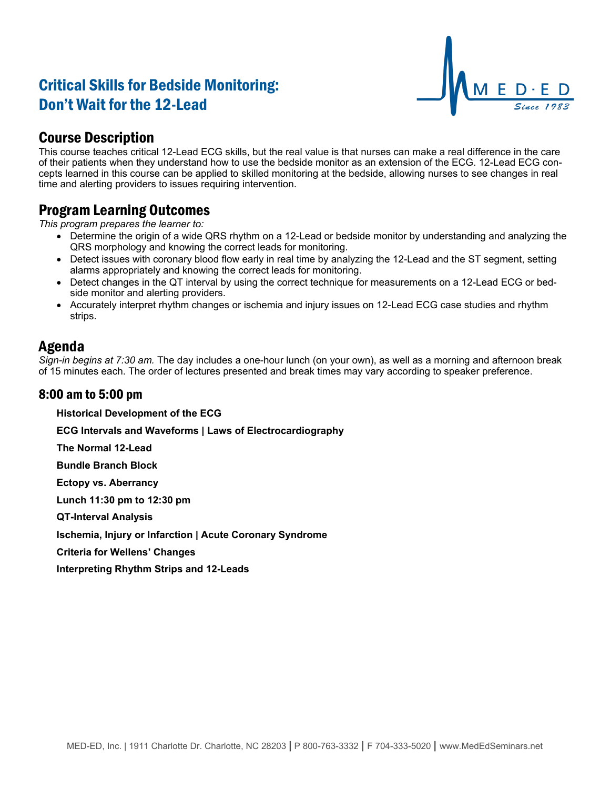# Critical Skills for Bedside Monitoring: Don't Wait for the 12-Lead



### Course Description

This course teaches critical 12-Lead ECG skills, but the real value is that nurses can make a real difference in the care of their patients when they understand how to use the bedside monitor as an extension of the ECG. 12-Lead ECG concepts learned in this course can be applied to skilled monitoring at the bedside, allowing nurses to see changes in real time and alerting providers to issues requiring intervention.

#### Program Learning Outcomes

*This program prepares the learner to:*

- Determine the origin of a wide QRS rhythm on a 12-Lead or bedside monitor by understanding and analyzing the QRS morphology and knowing the correct leads for monitoring.
- Detect issues with coronary blood flow early in real time by analyzing the 12-Lead and the ST segment, setting alarms appropriately and knowing the correct leads for monitoring.
- Detect changes in the QT interval by using the correct technique for measurements on a 12-Lead ECG or bedside monitor and alerting providers.
- Accurately interpret rhythm changes or ischemia and injury issues on 12-Lead ECG case studies and rhythm strips.

### Agenda

*Sign-in begins at 7:30 am.* The day includes a one-hour lunch (on your own), as well as a morning and afternoon break of 15 minutes each. The order of lectures presented and break times may vary according to speaker preference.

#### 8:00 am to 5:00 pm

**Historical Development of the ECG**

**ECG Intervals and Waveforms | Laws of Electrocardiography**

**The Normal 12-Lead**

**Bundle Branch Block**

**Ectopy vs. Aberrancy**

**Lunch 11:30 pm to 12:30 pm**

**QT-Interval Analysis**

**Ischemia, Injury or Infarction | Acute Coronary Syndrome**

**Criteria for Wellens' Changes**

**Interpreting Rhythm Strips and 12-Leads**